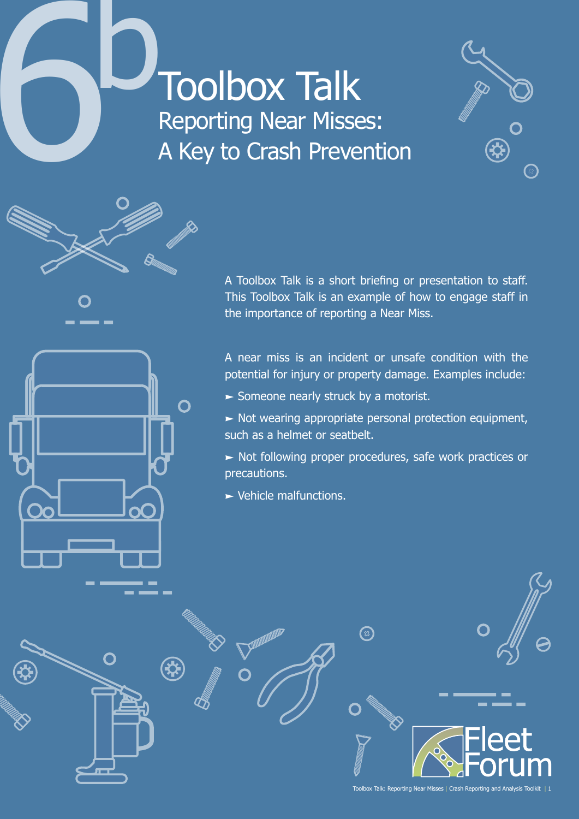

O



A Toolbox Talk is a short briefing or presentation to staff. This Toolbox Talk is an example of how to engage staff in the importance of reporting a Near Miss.

A near miss is an incident or unsafe condition with the potential for injury or property damage. Examples include:

- $\blacktriangleright$  Someone nearly struck by a motorist.
- $\triangleright$  Not wearing appropriate personal protection equipment, such as a helmet or seatbelt.
- Not following proper procedures, safe work practices or precautions.
- **>** Vehicle malfunctions.

 $\Omega$  $\mathfrak{P}$ Toolbox Talk: Reporting Near Misses | Crash Reporting and Analysis Tool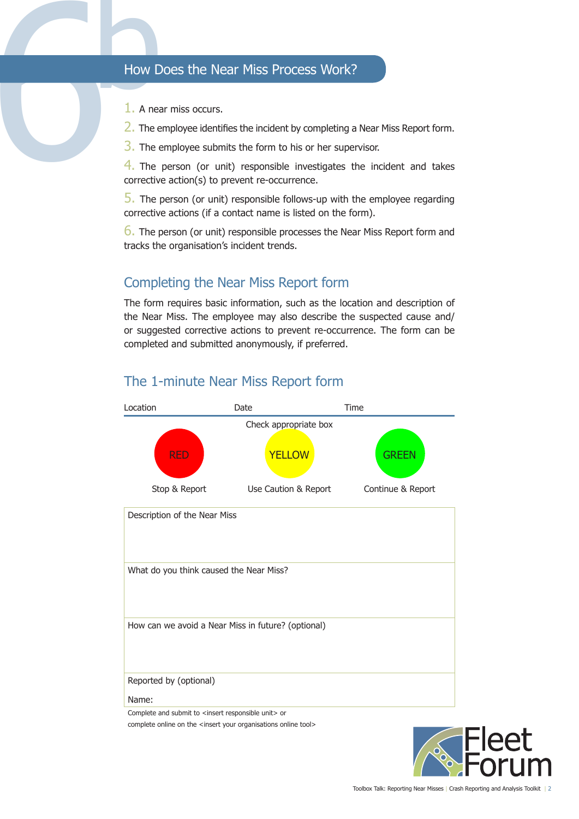- 1. A near miss occurs.
- 2. The employee identifies the incident by completing a Near Miss Report form.
- 3. The employee submits the form to his or her supervisor.

From the Near Miss Process Work?<br>
1. A near miss occurs.<br>
2. The employee identifies the incident by completing a<br>
3. The employee submits the form to his or her super<br>
4. The person (or unit) responsible investigates the<br> 4. The person (or unit) responsible investigates the incident and takes corrective action(s) to prevent re-occurrence.

5. The person (or unit) responsible follows-up with the employee regarding corrective actions (if a contact name is listed on the form).

**6.** The person (or unit) responsible processes the Near Miss Report form and tracks the organisation's incident trends.

# Completing the Near Miss Report form

The form requires basic information, such as the location and description of the Near Miss. The employee may also describe the suspected cause and/ or suggested corrective actions to prevent re-occurrence. The form can be completed and submitted anonymously, if preferred.



### The 1-minute Near Miss Report form